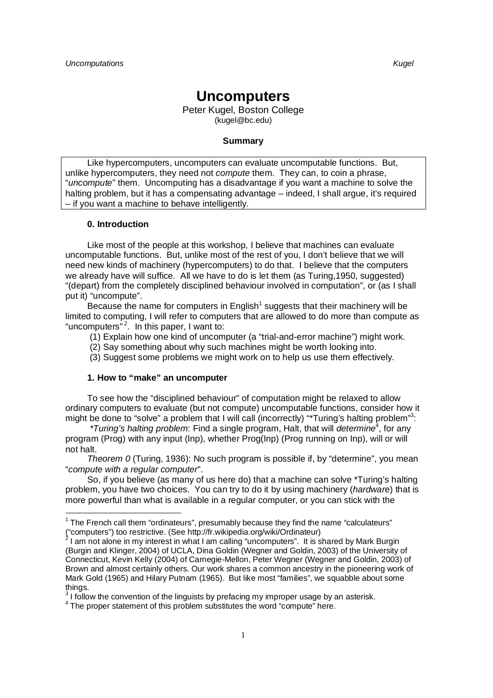# **Uncomputers**

Peter Kugel, Boston College (kugel@bc.edu)

### **Summary**

Like hypercomputers, uncomputers can evaluate uncomputable functions. But, unlike hypercomputers, they need not *compute* them. They can, to coin a phrase, "uncompute" them. Uncomputing has a disadvantage if you want a machine to solve the halting problem, but it has a compensating advantage – indeed, I shall argue, it's required – if you want a machine to behave intelligently.

## **0. Introduction**

l

Like most of the people at this workshop, I believe that machines can evaluate uncomputable functions. But, unlike most of the rest of you, I don't believe that we will need new kinds of machinery (hypercomputers) to do that. I believe that the computers we already have will suffice. All we have to do is let them (as Turing,1950, suggested) "(depart) from the completely disciplined behaviour involved in computation", or (as I shall put it) "uncompute".

Because the name for computers in English<sup>1</sup> suggests that their machinery will be limited to computing, I will refer to computers that are allowed to do more than compute as "uncomputers"<sup>2</sup>. In this paper, I want to:

- (1) Explain how one kind of uncomputer (a "trial-and-error machine") might work.
- (2) Say something about why such machines might be worth looking into.
- (3) Suggest some problems we might work on to help us use them effectively.

## **1. How to "make" an uncomputer**

To see how the "disciplined behaviour" of computation might be relaxed to allow ordinary computers to evaluate (but not compute) uncomputable functions, consider how it might be done to "solve" a problem that I will call (incorrectly) "\*Turing's halting problem"<sup>3</sup>:

\*Turing's halting problem: Find a single program, Halt, that will determine<sup>4</sup>, for any program (Prog) with any input (Inp), whether Prog(Inp) (Prog running on Inp), will or will not halt.

Theorem  $\theta$  (Turing, 1936): No such program is possible if, by "determine", you mean "compute with a regular computer".

So, if you believe (as many of us here do) that a machine can solve \*Turing's halting problem, you have two choices. You can try to do it by using machinery (hardware) that is more powerful than what is available in a regular computer, or you can stick with the

 $1$  The French call them "ordinateurs", presumably because they find the name "calculateurs"

<sup>(&</sup>quot;computers") too restrictive. (See http://fr.wikipedia.org/wiki/Ordinateur)<br><sup>2</sup> I am not alone in my interest in what I am calling "uncomputers". It is shared by Mark Burgin (Burgin and Klinger, 2004) of UCLA, Dina Goldin (Wegner and Goldin, 2003) of the University of Connecticut, Kevin Kelly (2004) of Carnegie-Mellon, Peter Wegner (Wegner and Goldin, 2003) of Brown and almost certainly others. Our work shares a common ancestry in the pioneering work of Mark Gold (1965) and Hilary Putnam (1965). But like most "families", we squabble about some things.

 $3$  I follow the convention of the linguists by prefacing my improper usage by an asterisk.

<sup>&</sup>lt;sup>4</sup> The proper statement of this problem substitutes the word "compute" here.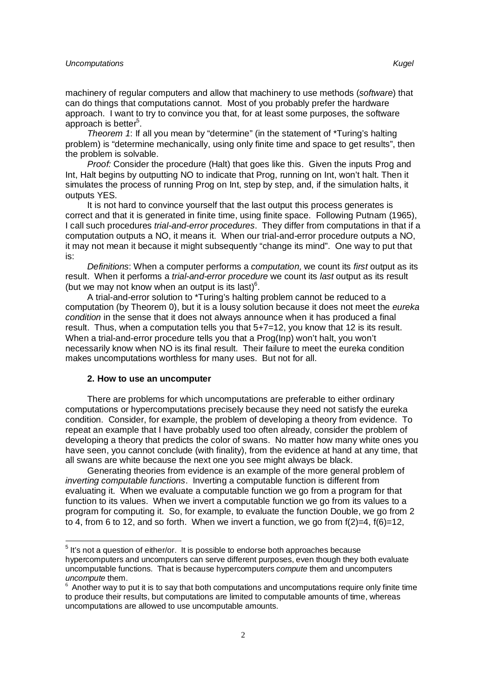machinery of regular computers and allow that machinery to use methods (software) that can do things that computations cannot. Most of you probably prefer the hardware approach. I want to try to convince you that, for at least some purposes, the software approach is better<sup>5</sup>.

Theorem 1: If all you mean by "determine" (in the statement of \*Turing's halting problem) is "determine mechanically, using only finite time and space to get results", then the problem is solvable.

Proof: Consider the procedure (Halt) that goes like this. Given the inputs Prog and Int, Halt begins by outputting NO to indicate that Prog, running on Int, won't halt. Then it simulates the process of running Prog on Int, step by step, and, if the simulation halts, it outputs YES.

It is not hard to convince yourself that the last output this process generates is correct and that it is generated in finite time, using finite space. Following Putnam (1965), I call such procedures *trial-and-error procedures*. They differ from computations in that if a computation outputs a NO, it means it. When our trial-and-error procedure outputs a NO, it may not mean it because it might subsequently "change its mind". One way to put that is:

Definitions: When a computer performs a computation, we count its first output as its result. When it performs a *trial-and-error procedure* we count its *last* output as its result (but we may not know when an output is its last) $6$ .

A trial-and-error solution to \*Turing's halting problem cannot be reduced to a computation (by Theorem 0), but it is a lousy solution because it does not meet the eureka condition in the sense that it does not always announce when it has produced a final result. Thus, when a computation tells you that 5+7=12, you know that 12 is its result. When a trial-and-error procedure tells you that a Prog(Inp) won't halt, you won't necessarily know when NO is its final result. Their failure to meet the eureka condition makes uncomputations worthless for many uses. But not for all.

### **2. How to use an uncomputer**

There are problems for which uncomputations are preferable to either ordinary computations or hypercomputations precisely because they need not satisfy the eureka condition. Consider, for example, the problem of developing a theory from evidence. To repeat an example that I have probably used too often already, consider the problem of developing a theory that predicts the color of swans. No matter how many white ones you have seen, you cannot conclude (with finality), from the evidence at hand at any time, that all swans are white because the next one you see might always be black.

Generating theories from evidence is an example of the more general problem of inverting computable functions. Inverting a computable function is different from evaluating it. When we evaluate a computable function we go from a program for that function to its values. When we invert a computable function we go from its values to a program for computing it. So, for example, to evaluate the function Double, we go from 2 to 4, from 6 to 12, and so forth. When we invert a function, we go from  $f(2)=4$ ,  $f(6)=12$ ,

<sup>&</sup>lt;u>Filt's not a question of either/or.</u><br>The section of stead of the section of the section of the section of the spots is possible to endorse because hypercomputers and uncomputers can serve different purposes, even though they both evaluate uncomputable functions. That is because hypercomputers compute them and uncomputers uncompute them.

 $6$  Another way to put it is to say that both computations and uncomputations require only finite time to produce their results, but computations are limited to computable amounts of time, whereas uncomputations are allowed to use uncomputable amounts.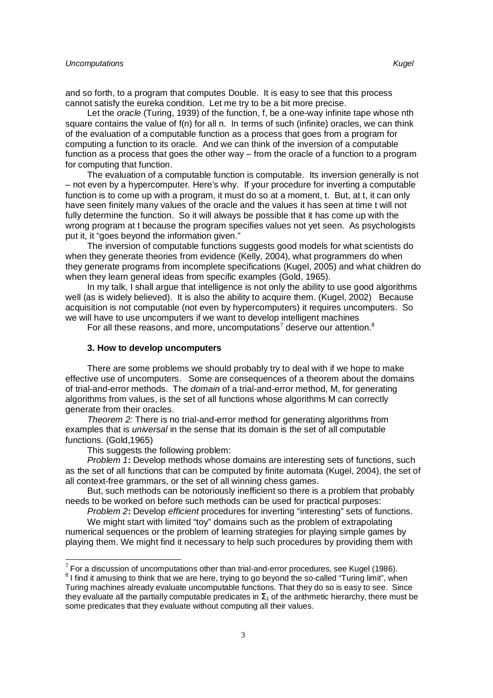and so forth, to a program that computes Double. It is easy to see that this process cannot satisfy the eureka condition. Let me try to be a bit more precise.

Let the oracle (Turing, 1939) of the function, f, be a one-way infinite tape whose nth square contains the value of f(n) for all n. In terms of such (infinite) oracles, we can think of the evaluation of a computable function as a process that goes from a program for computing a function to its oracle. And we can think of the inversion of a computable function as a process that goes the other way – from the oracle of a function to a program for computing that function.

The evaluation of a computable function is computable. Its inversion generally is not – not even by a hypercomputer. Here's why. If your procedure for inverting a computable function is to come up with a program, it must do so at a moment, t. But, at t, it can only have seen finitely many values of the oracle and the values it has seen at time t will not fully determine the function. So it will always be possible that it has come up with the wrong program at t because the program specifies values not yet seen. As psychologists put it, it "goes beyond the information given."

The inversion of computable functions suggests good models for what scientists do when they generate theories from evidence (Kelly, 2004), what programmers do when they generate programs from incomplete specifications (Kugel, 2005) and what children do when they learn general ideas from specific examples (Gold, 1965).

In my talk, I shall argue that intelligence is not only the ability to use good algorithms well (as is widely believed). It is also the ability to acquire them. (Kugel, 2002) Because acquisition is not computable (not even by hypercomputers) it requires uncomputers. So we will have to use uncomputers if we want to develop intelligent machines

For all these reasons, and more, uncomputations<sup>7</sup> deserve our attention.<sup>8</sup>

#### **3. How to develop uncomputers**

There are some problems we should probably try to deal with if we hope to make effective use of uncomputers. Some are consequences of a theorem about the domains of trial-and-error methods. The domain of a trial-and-error method, M, for generating algorithms from values, is the set of all functions whose algorithms M can correctly generate from their oracles.

Theorem 2: There is no trial-and-error method for generating algorithms from examples that is *universal* in the sense that its domain is the set of all computable functions. (Gold,1965)

This suggests the following problem:

Problem 1**:** Develop methods whose domains are interesting sets of functions, such as the set of all functions that can be computed by finite automata (Kugel, 2004), the set of all context-free grammars, or the set of all winning chess games.

But, such methods can be notoriously inefficient so there is a problem that probably needs to be worked on before such methods can be used for practical purposes:

Problem 2**:** Develop efficient procedures for inverting "interesting" sets of functions. We might start with limited "toy" domains such as the problem of extrapolating

numerical sequences or the problem of learning strategies for playing simple games by playing them. We might find it necessary to help such procedures by providing them with

<sup>————————————————————&</sup>lt;br><sup>7</sup> For a discussion of uncomputations other than trial-and-error procedures, see Kugel (1986).

 $8$  I find it amusing to think that we are here, trying to go beyond the so-called "Turing limit", when Turing machines already evaluate uncomputable functions. That they do so is easy to see. Since they evaluate all the partially computable predicates in  $\Sigma_1$  of the arithmetic hierarchy, there must be some predicates that they evaluate without computing all their values.